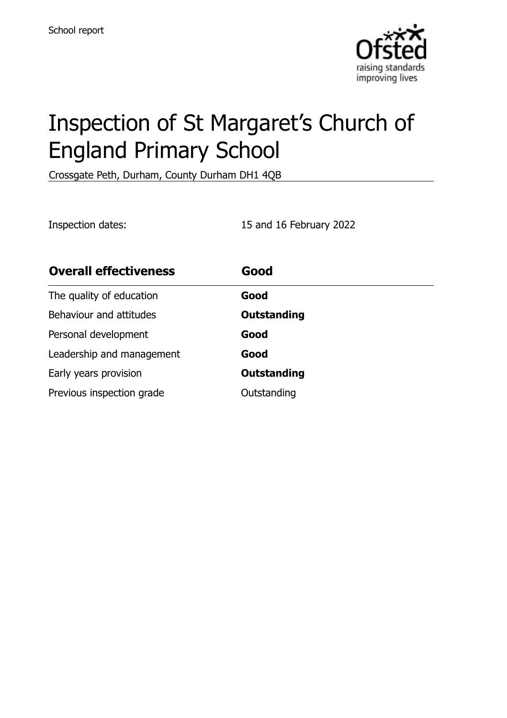

# Inspection of St Margaret's Church of England Primary School

Crossgate Peth, Durham, County Durham DH1 4QB

Inspection dates: 15 and 16 February 2022

| <b>Overall effectiveness</b> | Good               |
|------------------------------|--------------------|
| The quality of education     | Good               |
| Behaviour and attitudes      | Outstanding        |
| Personal development         | Good               |
| Leadership and management    | Good               |
| Early years provision        | <b>Outstanding</b> |
| Previous inspection grade    | Outstanding        |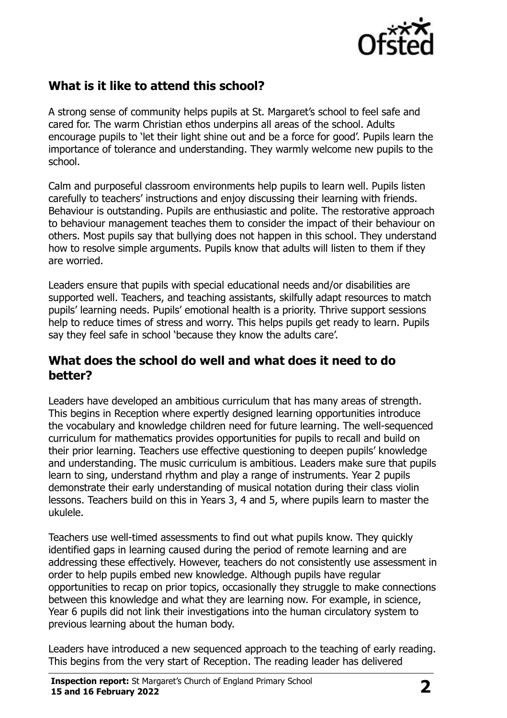

# **What is it like to attend this school?**

A strong sense of community helps pupils at St. Margaret's school to feel safe and cared for. The warm Christian ethos underpins all areas of the school. Adults encourage pupils to 'let their light shine out and be a force for good'. Pupils learn the importance of tolerance and understanding. They warmly welcome new pupils to the school.

Calm and purposeful classroom environments help pupils to learn well. Pupils listen carefully to teachers' instructions and enjoy discussing their learning with friends. Behaviour is outstanding. Pupils are enthusiastic and polite. The restorative approach to behaviour management teaches them to consider the impact of their behaviour on others. Most pupils say that bullying does not happen in this school. They understand how to resolve simple arguments. Pupils know that adults will listen to them if they are worried.

Leaders ensure that pupils with special educational needs and/or disabilities are supported well. Teachers, and teaching assistants, skilfully adapt resources to match pupils' learning needs. Pupils' emotional health is a priority. Thrive support sessions help to reduce times of stress and worry. This helps pupils get ready to learn. Pupils say they feel safe in school 'because they know the adults care'.

#### **What does the school do well and what does it need to do better?**

Leaders have developed an ambitious curriculum that has many areas of strength. This begins in Reception where expertly designed learning opportunities introduce the vocabulary and knowledge children need for future learning. The well-sequenced curriculum for mathematics provides opportunities for pupils to recall and build on their prior learning. Teachers use effective questioning to deepen pupils' knowledge and understanding. The music curriculum is ambitious. Leaders make sure that pupils learn to sing, understand rhythm and play a range of instruments. Year 2 pupils demonstrate their early understanding of musical notation during their class violin lessons. Teachers build on this in Years 3, 4 and 5, where pupils learn to master the ukulele.

Teachers use well-timed assessments to find out what pupils know. They quickly identified gaps in learning caused during the period of remote learning and are addressing these effectively. However, teachers do not consistently use assessment in order to help pupils embed new knowledge. Although pupils have regular opportunities to recap on prior topics, occasionally they struggle to make connections between this knowledge and what they are learning now. For example, in science, Year 6 pupils did not link their investigations into the human circulatory system to previous learning about the human body.

Leaders have introduced a new sequenced approach to the teaching of early reading. This begins from the very start of Reception. The reading leader has delivered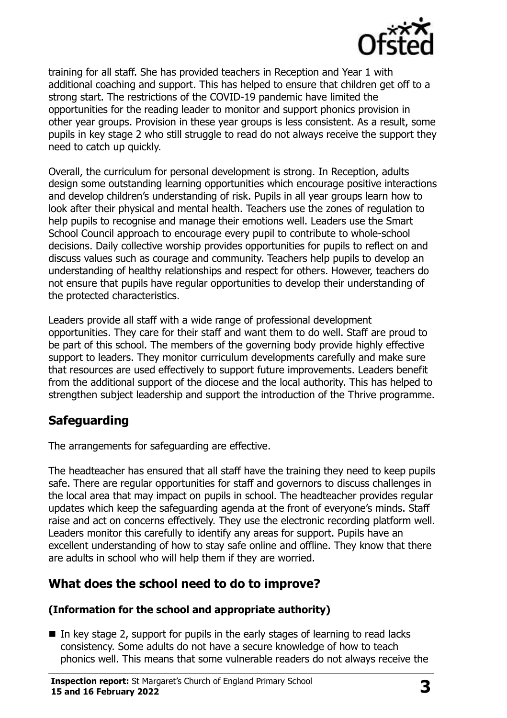

training for all staff. She has provided teachers in Reception and Year 1 with additional coaching and support. This has helped to ensure that children get off to a strong start. The restrictions of the COVID-19 pandemic have limited the opportunities for the reading leader to monitor and support phonics provision in other year groups. Provision in these year groups is less consistent. As a result, some pupils in key stage 2 who still struggle to read do not always receive the support they need to catch up quickly.

Overall, the curriculum for personal development is strong. In Reception, adults design some outstanding learning opportunities which encourage positive interactions and develop children's understanding of risk. Pupils in all year groups learn how to look after their physical and mental health. Teachers use the zones of regulation to help pupils to recognise and manage their emotions well. Leaders use the Smart School Council approach to encourage every pupil to contribute to whole-school decisions. Daily collective worship provides opportunities for pupils to reflect on and discuss values such as courage and community. Teachers help pupils to develop an understanding of healthy relationships and respect for others. However, teachers do not ensure that pupils have regular opportunities to develop their understanding of the protected characteristics.

Leaders provide all staff with a wide range of professional development opportunities. They care for their staff and want them to do well. Staff are proud to be part of this school. The members of the governing body provide highly effective support to leaders. They monitor curriculum developments carefully and make sure that resources are used effectively to support future improvements. Leaders benefit from the additional support of the diocese and the local authority. This has helped to strengthen subject leadership and support the introduction of the Thrive programme.

### **Safeguarding**

The arrangements for safeguarding are effective.

The headteacher has ensured that all staff have the training they need to keep pupils safe. There are regular opportunities for staff and governors to discuss challenges in the local area that may impact on pupils in school. The headteacher provides regular updates which keep the safeguarding agenda at the front of everyone's minds. Staff raise and act on concerns effectively. They use the electronic recording platform well. Leaders monitor this carefully to identify any areas for support. Pupils have an excellent understanding of how to stay safe online and offline. They know that there are adults in school who will help them if they are worried.

### **What does the school need to do to improve?**

#### **(Information for the school and appropriate authority)**

 $\blacksquare$  In key stage 2, support for pupils in the early stages of learning to read lacks consistency. Some adults do not have a secure knowledge of how to teach phonics well. This means that some vulnerable readers do not always receive the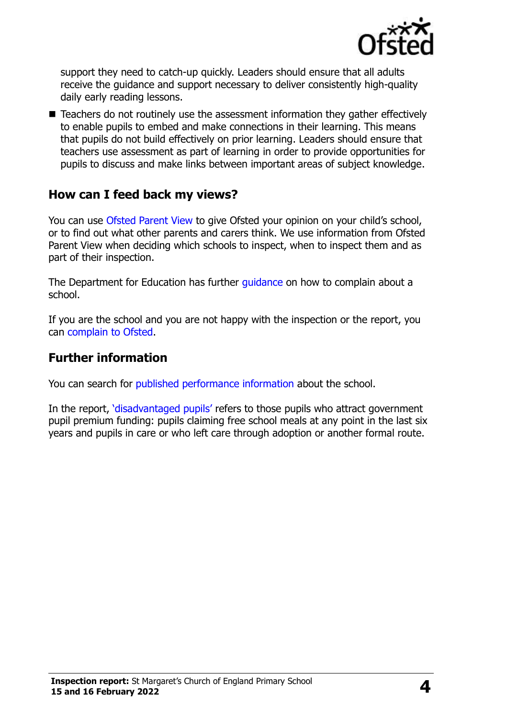

support they need to catch-up quickly. Leaders should ensure that all adults receive the guidance and support necessary to deliver consistently high-quality daily early reading lessons.

■ Teachers do not routinely use the assessment information they gather effectively to enable pupils to embed and make connections in their learning. This means that pupils do not build effectively on prior learning. Leaders should ensure that teachers use assessment as part of learning in order to provide opportunities for pupils to discuss and make links between important areas of subject knowledge.

### **How can I feed back my views?**

You can use [Ofsted Parent View](http://parentview.ofsted.gov.uk/) to give Ofsted your opinion on your child's school, or to find out what other parents and carers think. We use information from Ofsted Parent View when deciding which schools to inspect, when to inspect them and as part of their inspection.

The Department for Education has further quidance on how to complain about a school.

If you are the school and you are not happy with the inspection or the report, you can [complain to Ofsted.](http://www.gov.uk/complain-ofsted-report)

## **Further information**

You can search for [published performance information](http://www.compare-school-performance.service.gov.uk/) about the school.

In the report, '[disadvantaged pupils](http://www.gov.uk/guidance/pupil-premium-information-for-schools-and-alternative-provision-settings)' refers to those pupils who attract government pupil premium funding: pupils claiming free school meals at any point in the last six years and pupils in care or who left care through adoption or another formal route.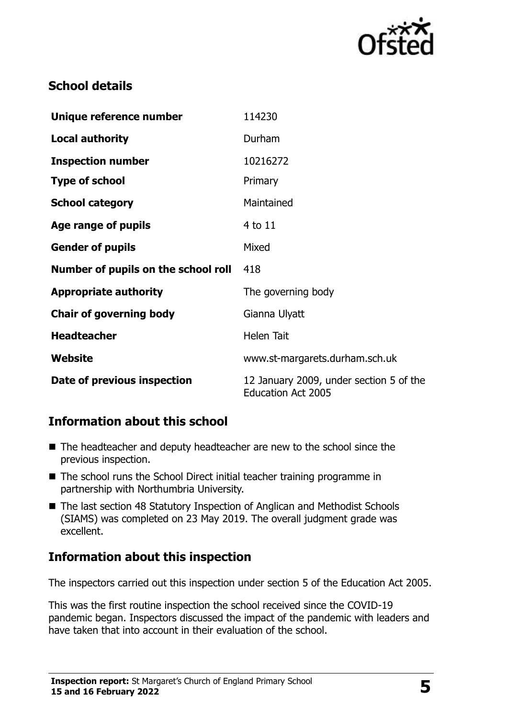

# **School details**

| Unique reference number             | 114230                                                               |
|-------------------------------------|----------------------------------------------------------------------|
| <b>Local authority</b>              | Durham                                                               |
| <b>Inspection number</b>            | 10216272                                                             |
| <b>Type of school</b>               | Primary                                                              |
| <b>School category</b>              | Maintained                                                           |
| Age range of pupils                 | $4$ to $11$                                                          |
| <b>Gender of pupils</b>             | Mixed                                                                |
| Number of pupils on the school roll | 418                                                                  |
| <b>Appropriate authority</b>        | The governing body                                                   |
| <b>Chair of governing body</b>      | Gianna Ulyatt                                                        |
| <b>Headteacher</b>                  | <b>Helen Tait</b>                                                    |
| Website                             | www.st-margarets.durham.sch.uk                                       |
| Date of previous inspection         | 12 January 2009, under section 5 of the<br><b>Education Act 2005</b> |

# **Information about this school**

- The headteacher and deputy headteacher are new to the school since the previous inspection.
- The school runs the School Direct initial teacher training programme in partnership with Northumbria University.
- The last section 48 Statutory Inspection of Anglican and Methodist Schools (SIAMS) was completed on 23 May 2019. The overall judgment grade was excellent.

# **Information about this inspection**

The inspectors carried out this inspection under section 5 of the Education Act 2005.

This was the first routine inspection the school received since the COVID-19 pandemic began. Inspectors discussed the impact of the pandemic with leaders and have taken that into account in their evaluation of the school.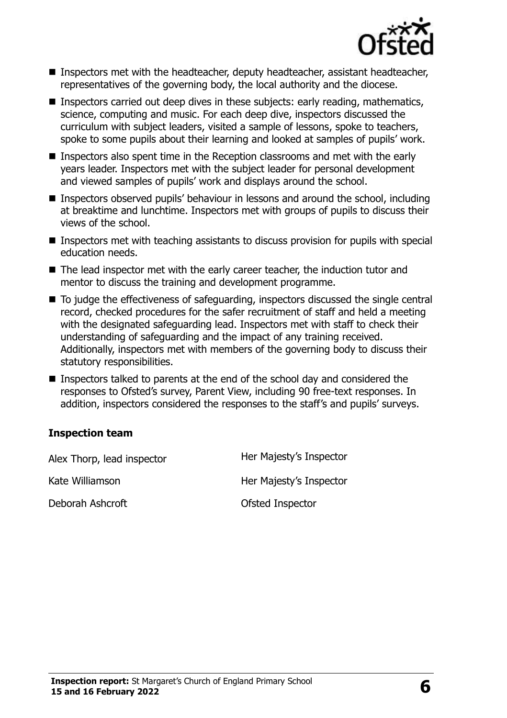

- Inspectors met with the headteacher, deputy headteacher, assistant headteacher, representatives of the governing body, the local authority and the diocese.
- Inspectors carried out deep dives in these subjects: early reading, mathematics, science, computing and music. For each deep dive, inspectors discussed the curriculum with subject leaders, visited a sample of lessons, spoke to teachers, spoke to some pupils about their learning and looked at samples of pupils' work.
- Inspectors also spent time in the Reception classrooms and met with the early years leader. Inspectors met with the subject leader for personal development and viewed samples of pupils' work and displays around the school.
- Inspectors observed pupils' behaviour in lessons and around the school, including at breaktime and lunchtime. Inspectors met with groups of pupils to discuss their views of the school.
- Inspectors met with teaching assistants to discuss provision for pupils with special education needs.
- The lead inspector met with the early career teacher, the induction tutor and mentor to discuss the training and development programme.
- To judge the effectiveness of safeguarding, inspectors discussed the single central record, checked procedures for the safer recruitment of staff and held a meeting with the designated safeguarding lead. Inspectors met with staff to check their understanding of safeguarding and the impact of any training received. Additionally, inspectors met with members of the governing body to discuss their statutory responsibilities.
- Inspectors talked to parents at the end of the school day and considered the responses to Ofsted's survey, Parent View, including 90 free-text responses. In addition, inspectors considered the responses to the staff's and pupils' surveys.

#### **Inspection team**

| Alex Thorp, lead inspector | Her Majesty's Inspector |
|----------------------------|-------------------------|
| Kate Williamson            | Her Majesty's Inspector |
| Deborah Ashcroft           | Ofsted Inspector        |